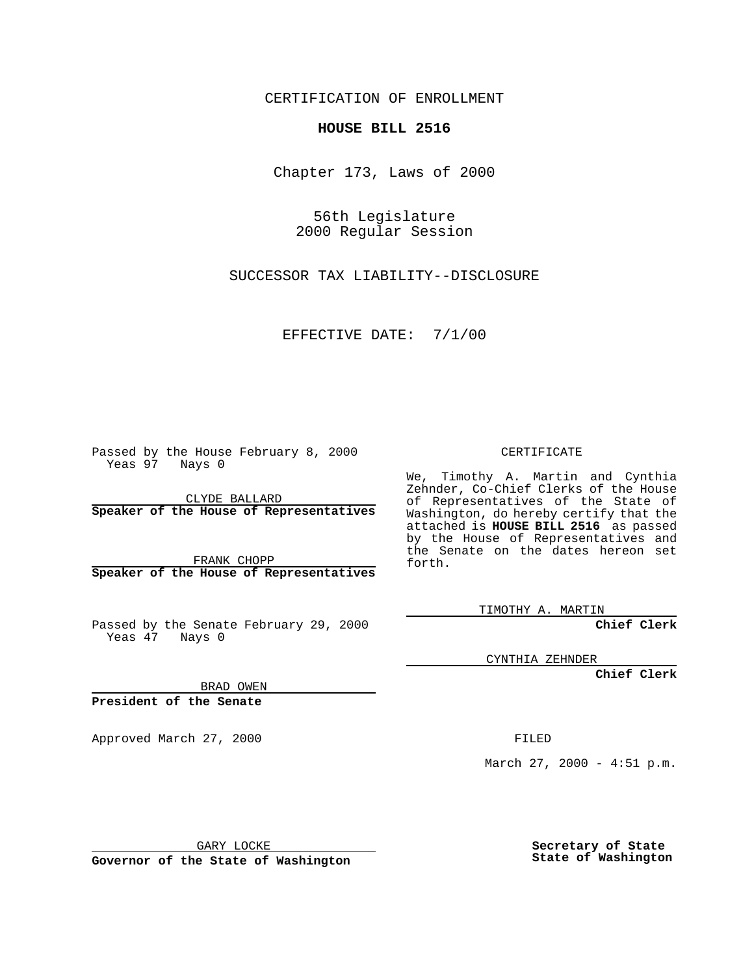CERTIFICATION OF ENROLLMENT

## **HOUSE BILL 2516**

Chapter 173, Laws of 2000

56th Legislature 2000 Regular Session

SUCCESSOR TAX LIABILITY--DISCLOSURE

EFFECTIVE DATE: 7/1/00

Passed by the House February 8, 2000 Yeas 97 Nays 0

CLYDE BALLARD **Speaker of the House of Representatives**

FRANK CHOPP **Speaker of the House of Representatives**

Passed by the Senate February 29, 2000 Yeas 47 Nays 0

CERTIFICATE

We, Timothy A. Martin and Cynthia Zehnder, Co-Chief Clerks of the House of Representatives of the State of Washington, do hereby certify that the attached is **HOUSE BILL 2516** as passed by the House of Representatives and the Senate on the dates hereon set forth.

TIMOTHY A. MARTIN

**Chief Clerk**

CYNTHIA ZEHNDER

**Chief Clerk**

BRAD OWEN

**President of the Senate**

Approved March 27, 2000 FILED

March 27, 2000 - 4:51 p.m.

GARY LOCKE

**Governor of the State of Washington**

**Secretary of State State of Washington**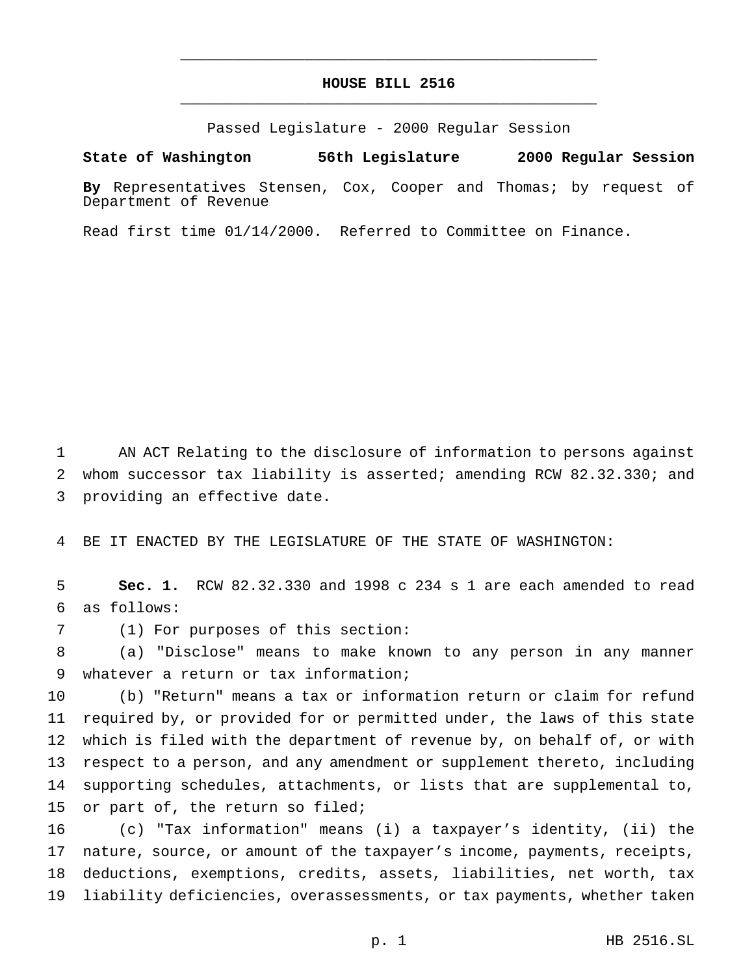## **HOUSE BILL 2516** \_\_\_\_\_\_\_\_\_\_\_\_\_\_\_\_\_\_\_\_\_\_\_\_\_\_\_\_\_\_\_\_\_\_\_\_\_\_\_\_\_\_\_\_\_\_\_

\_\_\_\_\_\_\_\_\_\_\_\_\_\_\_\_\_\_\_\_\_\_\_\_\_\_\_\_\_\_\_\_\_\_\_\_\_\_\_\_\_\_\_\_\_\_\_

Passed Legislature - 2000 Regular Session

## **State of Washington 56th Legislature 2000 Regular Session**

**By** Representatives Stensen, Cox, Cooper and Thomas; by request of Department of Revenue

Read first time 01/14/2000. Referred to Committee on Finance.

 AN ACT Relating to the disclosure of information to persons against whom successor tax liability is asserted; amending RCW 82.32.330; and providing an effective date.

BE IT ENACTED BY THE LEGISLATURE OF THE STATE OF WASHINGTON:

 **Sec. 1.** RCW 82.32.330 and 1998 c 234 s 1 are each amended to read as follows:

(1) For purposes of this section:

 (a) "Disclose" means to make known to any person in any manner whatever a return or tax information;

 (b) "Return" means a tax or information return or claim for refund required by, or provided for or permitted under, the laws of this state which is filed with the department of revenue by, on behalf of, or with respect to a person, and any amendment or supplement thereto, including supporting schedules, attachments, or lists that are supplemental to, 15 or part of, the return so filed;

 (c) "Tax information" means (i) a taxpayer's identity, (ii) the nature, source, or amount of the taxpayer's income, payments, receipts, deductions, exemptions, credits, assets, liabilities, net worth, tax liability deficiencies, overassessments, or tax payments, whether taken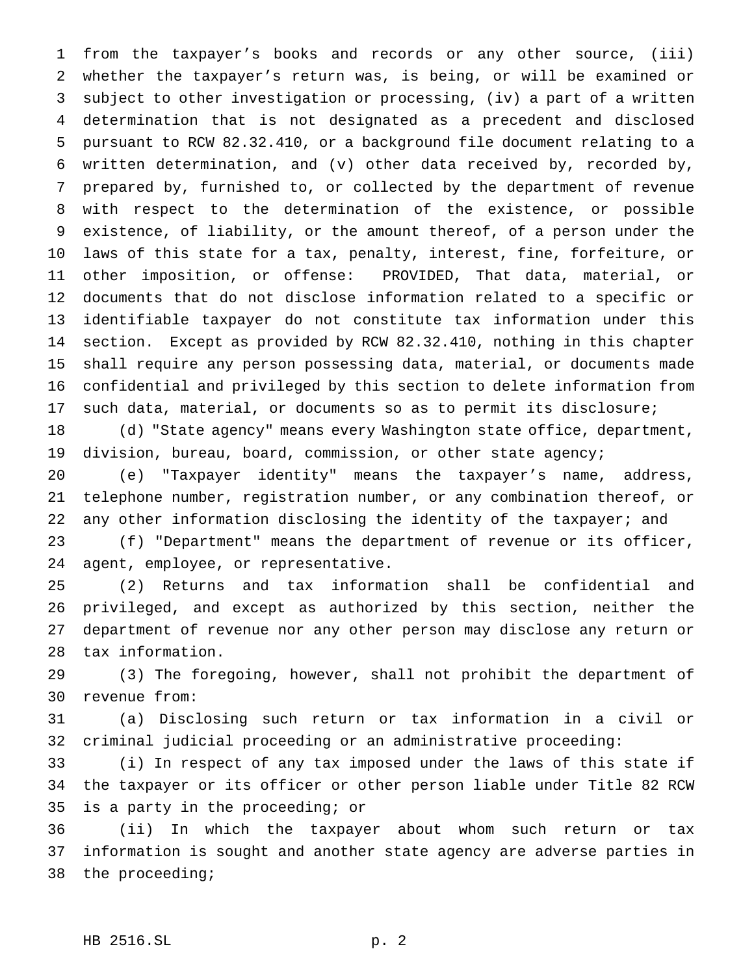from the taxpayer's books and records or any other source, (iii) whether the taxpayer's return was, is being, or will be examined or subject to other investigation or processing, (iv) a part of a written determination that is not designated as a precedent and disclosed pursuant to RCW 82.32.410, or a background file document relating to a written determination, and (v) other data received by, recorded by, prepared by, furnished to, or collected by the department of revenue with respect to the determination of the existence, or possible existence, of liability, or the amount thereof, of a person under the laws of this state for a tax, penalty, interest, fine, forfeiture, or other imposition, or offense: PROVIDED, That data, material, or documents that do not disclose information related to a specific or identifiable taxpayer do not constitute tax information under this section. Except as provided by RCW 82.32.410, nothing in this chapter shall require any person possessing data, material, or documents made confidential and privileged by this section to delete information from such data, material, or documents so as to permit its disclosure;

 (d) "State agency" means every Washington state office, department, division, bureau, board, commission, or other state agency;

 (e) "Taxpayer identity" means the taxpayer's name, address, telephone number, registration number, or any combination thereof, or 22 any other information disclosing the identity of the taxpayer; and

 (f) "Department" means the department of revenue or its officer, agent, employee, or representative.

 (2) Returns and tax information shall be confidential and privileged, and except as authorized by this section, neither the department of revenue nor any other person may disclose any return or tax information.

 (3) The foregoing, however, shall not prohibit the department of revenue from:

 (a) Disclosing such return or tax information in a civil or criminal judicial proceeding or an administrative proceeding:

 (i) In respect of any tax imposed under the laws of this state if the taxpayer or its officer or other person liable under Title 82 RCW is a party in the proceeding; or

 (ii) In which the taxpayer about whom such return or tax information is sought and another state agency are adverse parties in the proceeding;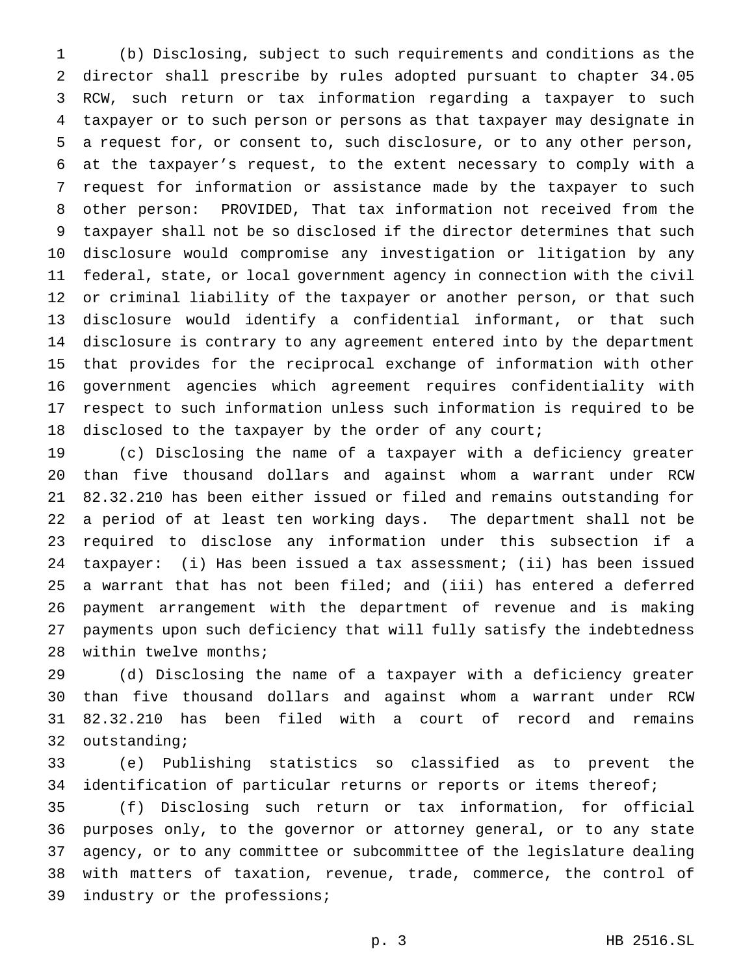(b) Disclosing, subject to such requirements and conditions as the director shall prescribe by rules adopted pursuant to chapter 34.05 RCW, such return or tax information regarding a taxpayer to such taxpayer or to such person or persons as that taxpayer may designate in a request for, or consent to, such disclosure, or to any other person, at the taxpayer's request, to the extent necessary to comply with a request for information or assistance made by the taxpayer to such other person: PROVIDED, That tax information not received from the taxpayer shall not be so disclosed if the director determines that such disclosure would compromise any investigation or litigation by any federal, state, or local government agency in connection with the civil or criminal liability of the taxpayer or another person, or that such disclosure would identify a confidential informant, or that such disclosure is contrary to any agreement entered into by the department that provides for the reciprocal exchange of information with other government agencies which agreement requires confidentiality with respect to such information unless such information is required to be 18 disclosed to the taxpayer by the order of any court;

 (c) Disclosing the name of a taxpayer with a deficiency greater than five thousand dollars and against whom a warrant under RCW 82.32.210 has been either issued or filed and remains outstanding for a period of at least ten working days. The department shall not be required to disclose any information under this subsection if a taxpayer: (i) Has been issued a tax assessment; (ii) has been issued a warrant that has not been filed; and (iii) has entered a deferred payment arrangement with the department of revenue and is making payments upon such deficiency that will fully satisfy the indebtedness within twelve months;

 (d) Disclosing the name of a taxpayer with a deficiency greater than five thousand dollars and against whom a warrant under RCW 82.32.210 has been filed with a court of record and remains outstanding;

 (e) Publishing statistics so classified as to prevent the 34 identification of particular returns or reports or items thereof;

 (f) Disclosing such return or tax information, for official purposes only, to the governor or attorney general, or to any state agency, or to any committee or subcommittee of the legislature dealing with matters of taxation, revenue, trade, commerce, the control of industry or the professions;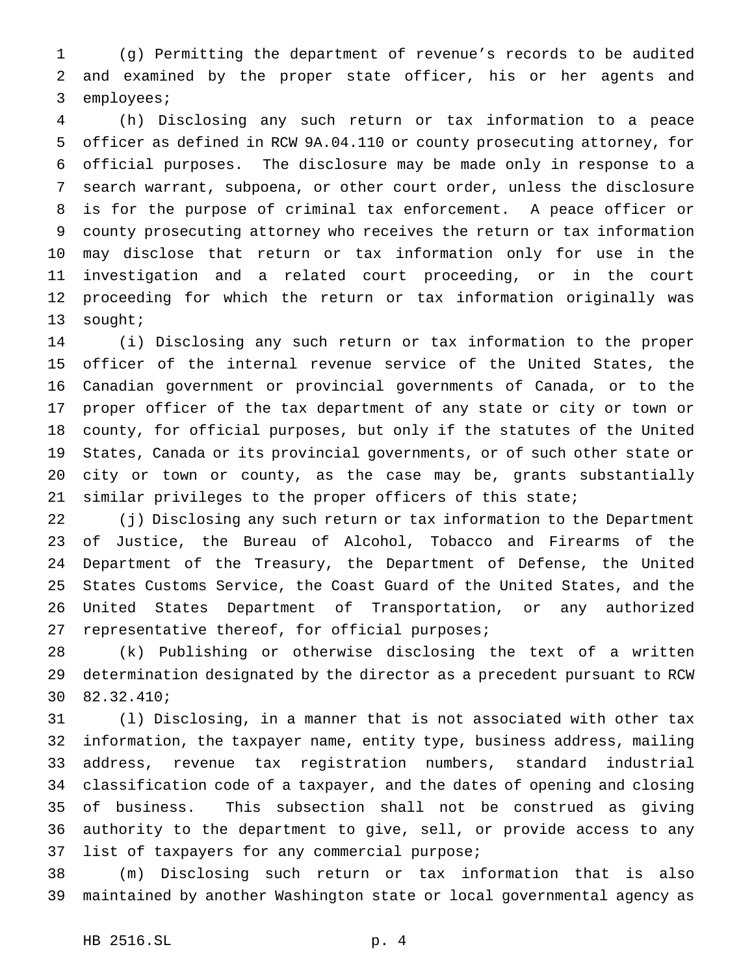(g) Permitting the department of revenue's records to be audited and examined by the proper state officer, his or her agents and employees;

 (h) Disclosing any such return or tax information to a peace officer as defined in RCW 9A.04.110 or county prosecuting attorney, for official purposes. The disclosure may be made only in response to a search warrant, subpoena, or other court order, unless the disclosure is for the purpose of criminal tax enforcement. A peace officer or county prosecuting attorney who receives the return or tax information may disclose that return or tax information only for use in the investigation and a related court proceeding, or in the court proceeding for which the return or tax information originally was sought;

 (i) Disclosing any such return or tax information to the proper officer of the internal revenue service of the United States, the Canadian government or provincial governments of Canada, or to the proper officer of the tax department of any state or city or town or county, for official purposes, but only if the statutes of the United States, Canada or its provincial governments, or of such other state or city or town or county, as the case may be, grants substantially similar privileges to the proper officers of this state;

 (j) Disclosing any such return or tax information to the Department of Justice, the Bureau of Alcohol, Tobacco and Firearms of the Department of the Treasury, the Department of Defense, the United States Customs Service, the Coast Guard of the United States, and the United States Department of Transportation, or any authorized 27 representative thereof, for official purposes;

 (k) Publishing or otherwise disclosing the text of a written determination designated by the director as a precedent pursuant to RCW 82.32.410;

 (l) Disclosing, in a manner that is not associated with other tax information, the taxpayer name, entity type, business address, mailing address, revenue tax registration numbers, standard industrial classification code of a taxpayer, and the dates of opening and closing of business. This subsection shall not be construed as giving authority to the department to give, sell, or provide access to any list of taxpayers for any commercial purpose;

 (m) Disclosing such return or tax information that is also maintained by another Washington state or local governmental agency as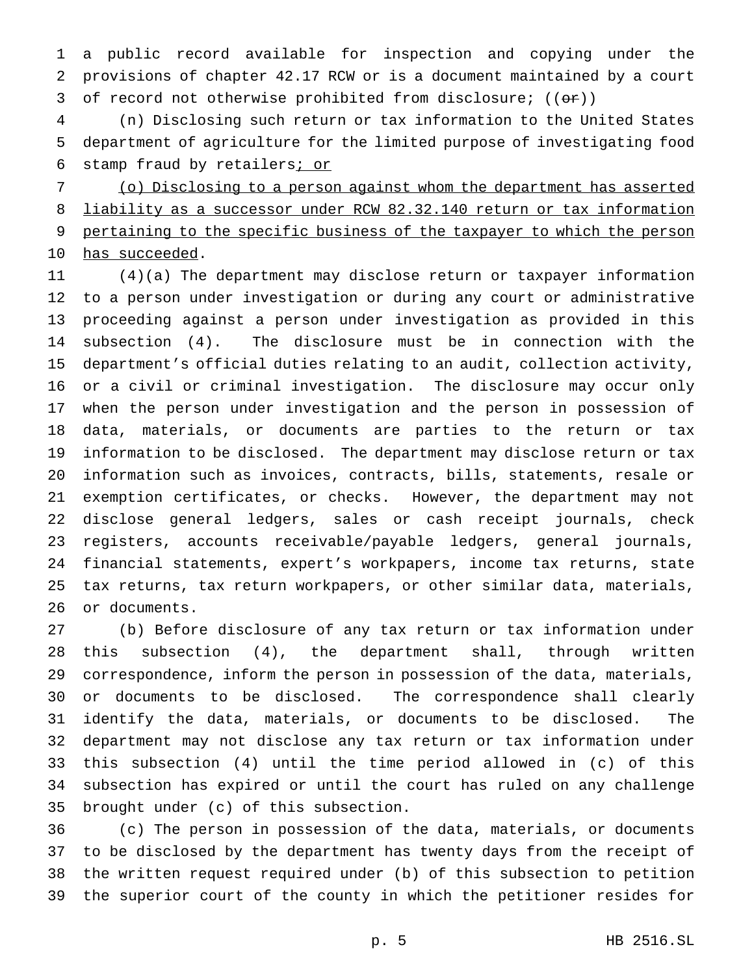a public record available for inspection and copying under the provisions of chapter 42.17 RCW or is a document maintained by a court 3 of record not otherwise prohibited from disclosure;  $((\theta \cdot \hat{r}))$ 

 (n) Disclosing such return or tax information to the United States department of agriculture for the limited purpose of investigating food 6 stamp fraud by retailers; or

 (o) Disclosing to a person against whom the department has asserted liability as a successor under RCW 82.32.140 return or tax information pertaining to the specific business of the taxpayer to which the person 10 has succeeded.

 (4)(a) The department may disclose return or taxpayer information to a person under investigation or during any court or administrative proceeding against a person under investigation as provided in this subsection (4). The disclosure must be in connection with the department's official duties relating to an audit, collection activity, or a civil or criminal investigation. The disclosure may occur only when the person under investigation and the person in possession of data, materials, or documents are parties to the return or tax information to be disclosed. The department may disclose return or tax information such as invoices, contracts, bills, statements, resale or exemption certificates, or checks. However, the department may not disclose general ledgers, sales or cash receipt journals, check registers, accounts receivable/payable ledgers, general journals, financial statements, expert's workpapers, income tax returns, state tax returns, tax return workpapers, or other similar data, materials, or documents.

 (b) Before disclosure of any tax return or tax information under this subsection (4), the department shall, through written correspondence, inform the person in possession of the data, materials, or documents to be disclosed. The correspondence shall clearly identify the data, materials, or documents to be disclosed. The department may not disclose any tax return or tax information under this subsection (4) until the time period allowed in (c) of this subsection has expired or until the court has ruled on any challenge brought under (c) of this subsection.

 (c) The person in possession of the data, materials, or documents to be disclosed by the department has twenty days from the receipt of the written request required under (b) of this subsection to petition the superior court of the county in which the petitioner resides for